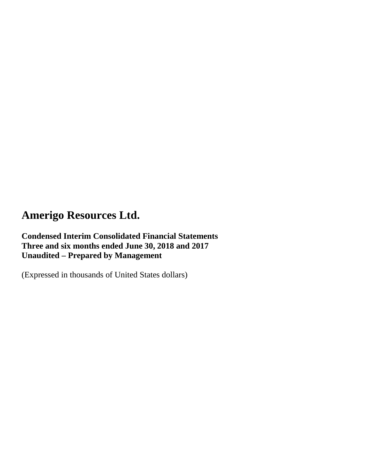**Condensed Interim Consolidated Financial Statements Three and six months ended June 30, 2018 and 2017 Unaudited – Prepared by Management**

(Expressed in thousands of United States dollars)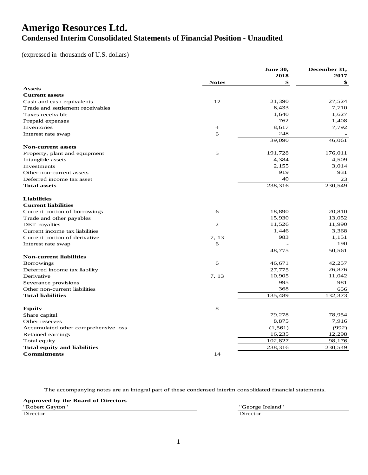### **Amerigo Resources Ltd. Condensed Interim Consolidated Statements of Financial Position - Unaudited**

#### (expressed in thousands of U.S. dollars)

| 2018<br>2017<br>\$<br><b>Notes</b><br>\$<br><b>Assets</b><br><b>Current assets</b><br>12<br>21,390<br>27,524<br>Cash and cash equivalents<br>7,710<br>Trade and settlement receivables<br>6,433<br>1,627<br>1,640<br>Taxes receivable<br>762<br>1,408<br>Prepaid expenses<br>8,617<br>7,792<br>Inventories<br>$\overline{4}$<br>248<br>6<br>Interest rate swap<br>39,090<br>46,061<br><b>Non-current assets</b><br>5<br>191,728<br>176,011<br>Property, plant and equipment<br>4,509<br>4,384<br>Intangible assets<br>2,155<br>3,014<br>Investments<br>919<br>931<br>Other non-current assets<br>40<br>23<br>Deferred income tax asset<br>238,316<br>230,549<br><b>Total assets</b><br><b>Liabilities</b><br><b>Current liabilities</b><br>18,890<br>20,810<br>6<br>Current portion of borrowings<br>13,052<br>15,930<br>Trade and other payables<br>$\overline{2}$<br>11,526<br>11,990<br>DET royalties<br>3,368<br>1,446<br>Current income tax liabilities<br>983<br>1,151<br>7, 13<br>Current portion of derivative<br>6<br>190<br>Interest rate swap<br>48,775<br>50,561<br><b>Non-current liabilities</b><br>6<br>46,671<br>42,257<br><b>Borrowings</b><br>26,876<br>27,775<br>Deferred income tax liability<br>11,042<br>10,905<br>Derivative<br>7, 13<br>995<br>981<br>Severance provisions<br>368<br>Other non-current liabilities<br>656<br>132.373<br>135,489<br><b>Total liabilities</b><br>8<br><b>Equity</b><br>78,954<br>79,278<br>Share capital<br>8,875<br>7,916<br>Other reserves<br>(992)<br>Accumulated other comprehensive loss<br>(1, 561)<br>16,235<br>12,298<br>Retained earnings<br>102,827<br>98,176<br>Total equity<br><b>Total equity and liabilities</b><br>238,316<br>230,549<br><b>Commitments</b><br>14 |  | <b>June 30,</b> | December 31, |
|----------------------------------------------------------------------------------------------------------------------------------------------------------------------------------------------------------------------------------------------------------------------------------------------------------------------------------------------------------------------------------------------------------------------------------------------------------------------------------------------------------------------------------------------------------------------------------------------------------------------------------------------------------------------------------------------------------------------------------------------------------------------------------------------------------------------------------------------------------------------------------------------------------------------------------------------------------------------------------------------------------------------------------------------------------------------------------------------------------------------------------------------------------------------------------------------------------------------------------------------------------------------------------------------------------------------------------------------------------------------------------------------------------------------------------------------------------------------------------------------------------------------------------------------------------------------------------------------------------------------------------------------------------------------------------------------------------------------------------------|--|-----------------|--------------|
|                                                                                                                                                                                                                                                                                                                                                                                                                                                                                                                                                                                                                                                                                                                                                                                                                                                                                                                                                                                                                                                                                                                                                                                                                                                                                                                                                                                                                                                                                                                                                                                                                                                                                                                                        |  |                 |              |
|                                                                                                                                                                                                                                                                                                                                                                                                                                                                                                                                                                                                                                                                                                                                                                                                                                                                                                                                                                                                                                                                                                                                                                                                                                                                                                                                                                                                                                                                                                                                                                                                                                                                                                                                        |  |                 |              |
|                                                                                                                                                                                                                                                                                                                                                                                                                                                                                                                                                                                                                                                                                                                                                                                                                                                                                                                                                                                                                                                                                                                                                                                                                                                                                                                                                                                                                                                                                                                                                                                                                                                                                                                                        |  |                 |              |
|                                                                                                                                                                                                                                                                                                                                                                                                                                                                                                                                                                                                                                                                                                                                                                                                                                                                                                                                                                                                                                                                                                                                                                                                                                                                                                                                                                                                                                                                                                                                                                                                                                                                                                                                        |  |                 |              |
|                                                                                                                                                                                                                                                                                                                                                                                                                                                                                                                                                                                                                                                                                                                                                                                                                                                                                                                                                                                                                                                                                                                                                                                                                                                                                                                                                                                                                                                                                                                                                                                                                                                                                                                                        |  |                 |              |
|                                                                                                                                                                                                                                                                                                                                                                                                                                                                                                                                                                                                                                                                                                                                                                                                                                                                                                                                                                                                                                                                                                                                                                                                                                                                                                                                                                                                                                                                                                                                                                                                                                                                                                                                        |  |                 |              |
|                                                                                                                                                                                                                                                                                                                                                                                                                                                                                                                                                                                                                                                                                                                                                                                                                                                                                                                                                                                                                                                                                                                                                                                                                                                                                                                                                                                                                                                                                                                                                                                                                                                                                                                                        |  |                 |              |
|                                                                                                                                                                                                                                                                                                                                                                                                                                                                                                                                                                                                                                                                                                                                                                                                                                                                                                                                                                                                                                                                                                                                                                                                                                                                                                                                                                                                                                                                                                                                                                                                                                                                                                                                        |  |                 |              |
|                                                                                                                                                                                                                                                                                                                                                                                                                                                                                                                                                                                                                                                                                                                                                                                                                                                                                                                                                                                                                                                                                                                                                                                                                                                                                                                                                                                                                                                                                                                                                                                                                                                                                                                                        |  |                 |              |
|                                                                                                                                                                                                                                                                                                                                                                                                                                                                                                                                                                                                                                                                                                                                                                                                                                                                                                                                                                                                                                                                                                                                                                                                                                                                                                                                                                                                                                                                                                                                                                                                                                                                                                                                        |  |                 |              |
|                                                                                                                                                                                                                                                                                                                                                                                                                                                                                                                                                                                                                                                                                                                                                                                                                                                                                                                                                                                                                                                                                                                                                                                                                                                                                                                                                                                                                                                                                                                                                                                                                                                                                                                                        |  |                 |              |
|                                                                                                                                                                                                                                                                                                                                                                                                                                                                                                                                                                                                                                                                                                                                                                                                                                                                                                                                                                                                                                                                                                                                                                                                                                                                                                                                                                                                                                                                                                                                                                                                                                                                                                                                        |  |                 |              |
|                                                                                                                                                                                                                                                                                                                                                                                                                                                                                                                                                                                                                                                                                                                                                                                                                                                                                                                                                                                                                                                                                                                                                                                                                                                                                                                                                                                                                                                                                                                                                                                                                                                                                                                                        |  |                 |              |
|                                                                                                                                                                                                                                                                                                                                                                                                                                                                                                                                                                                                                                                                                                                                                                                                                                                                                                                                                                                                                                                                                                                                                                                                                                                                                                                                                                                                                                                                                                                                                                                                                                                                                                                                        |  |                 |              |
|                                                                                                                                                                                                                                                                                                                                                                                                                                                                                                                                                                                                                                                                                                                                                                                                                                                                                                                                                                                                                                                                                                                                                                                                                                                                                                                                                                                                                                                                                                                                                                                                                                                                                                                                        |  |                 |              |
|                                                                                                                                                                                                                                                                                                                                                                                                                                                                                                                                                                                                                                                                                                                                                                                                                                                                                                                                                                                                                                                                                                                                                                                                                                                                                                                                                                                                                                                                                                                                                                                                                                                                                                                                        |  |                 |              |
|                                                                                                                                                                                                                                                                                                                                                                                                                                                                                                                                                                                                                                                                                                                                                                                                                                                                                                                                                                                                                                                                                                                                                                                                                                                                                                                                                                                                                                                                                                                                                                                                                                                                                                                                        |  |                 |              |
|                                                                                                                                                                                                                                                                                                                                                                                                                                                                                                                                                                                                                                                                                                                                                                                                                                                                                                                                                                                                                                                                                                                                                                                                                                                                                                                                                                                                                                                                                                                                                                                                                                                                                                                                        |  |                 |              |
|                                                                                                                                                                                                                                                                                                                                                                                                                                                                                                                                                                                                                                                                                                                                                                                                                                                                                                                                                                                                                                                                                                                                                                                                                                                                                                                                                                                                                                                                                                                                                                                                                                                                                                                                        |  |                 |              |
|                                                                                                                                                                                                                                                                                                                                                                                                                                                                                                                                                                                                                                                                                                                                                                                                                                                                                                                                                                                                                                                                                                                                                                                                                                                                                                                                                                                                                                                                                                                                                                                                                                                                                                                                        |  |                 |              |
|                                                                                                                                                                                                                                                                                                                                                                                                                                                                                                                                                                                                                                                                                                                                                                                                                                                                                                                                                                                                                                                                                                                                                                                                                                                                                                                                                                                                                                                                                                                                                                                                                                                                                                                                        |  |                 |              |
|                                                                                                                                                                                                                                                                                                                                                                                                                                                                                                                                                                                                                                                                                                                                                                                                                                                                                                                                                                                                                                                                                                                                                                                                                                                                                                                                                                                                                                                                                                                                                                                                                                                                                                                                        |  |                 |              |
|                                                                                                                                                                                                                                                                                                                                                                                                                                                                                                                                                                                                                                                                                                                                                                                                                                                                                                                                                                                                                                                                                                                                                                                                                                                                                                                                                                                                                                                                                                                                                                                                                                                                                                                                        |  |                 |              |
|                                                                                                                                                                                                                                                                                                                                                                                                                                                                                                                                                                                                                                                                                                                                                                                                                                                                                                                                                                                                                                                                                                                                                                                                                                                                                                                                                                                                                                                                                                                                                                                                                                                                                                                                        |  |                 |              |
|                                                                                                                                                                                                                                                                                                                                                                                                                                                                                                                                                                                                                                                                                                                                                                                                                                                                                                                                                                                                                                                                                                                                                                                                                                                                                                                                                                                                                                                                                                                                                                                                                                                                                                                                        |  |                 |              |
|                                                                                                                                                                                                                                                                                                                                                                                                                                                                                                                                                                                                                                                                                                                                                                                                                                                                                                                                                                                                                                                                                                                                                                                                                                                                                                                                                                                                                                                                                                                                                                                                                                                                                                                                        |  |                 |              |
|                                                                                                                                                                                                                                                                                                                                                                                                                                                                                                                                                                                                                                                                                                                                                                                                                                                                                                                                                                                                                                                                                                                                                                                                                                                                                                                                                                                                                                                                                                                                                                                                                                                                                                                                        |  |                 |              |
|                                                                                                                                                                                                                                                                                                                                                                                                                                                                                                                                                                                                                                                                                                                                                                                                                                                                                                                                                                                                                                                                                                                                                                                                                                                                                                                                                                                                                                                                                                                                                                                                                                                                                                                                        |  |                 |              |
|                                                                                                                                                                                                                                                                                                                                                                                                                                                                                                                                                                                                                                                                                                                                                                                                                                                                                                                                                                                                                                                                                                                                                                                                                                                                                                                                                                                                                                                                                                                                                                                                                                                                                                                                        |  |                 |              |
|                                                                                                                                                                                                                                                                                                                                                                                                                                                                                                                                                                                                                                                                                                                                                                                                                                                                                                                                                                                                                                                                                                                                                                                                                                                                                                                                                                                                                                                                                                                                                                                                                                                                                                                                        |  |                 |              |
|                                                                                                                                                                                                                                                                                                                                                                                                                                                                                                                                                                                                                                                                                                                                                                                                                                                                                                                                                                                                                                                                                                                                                                                                                                                                                                                                                                                                                                                                                                                                                                                                                                                                                                                                        |  |                 |              |
|                                                                                                                                                                                                                                                                                                                                                                                                                                                                                                                                                                                                                                                                                                                                                                                                                                                                                                                                                                                                                                                                                                                                                                                                                                                                                                                                                                                                                                                                                                                                                                                                                                                                                                                                        |  |                 |              |
|                                                                                                                                                                                                                                                                                                                                                                                                                                                                                                                                                                                                                                                                                                                                                                                                                                                                                                                                                                                                                                                                                                                                                                                                                                                                                                                                                                                                                                                                                                                                                                                                                                                                                                                                        |  |                 |              |
|                                                                                                                                                                                                                                                                                                                                                                                                                                                                                                                                                                                                                                                                                                                                                                                                                                                                                                                                                                                                                                                                                                                                                                                                                                                                                                                                                                                                                                                                                                                                                                                                                                                                                                                                        |  |                 |              |
|                                                                                                                                                                                                                                                                                                                                                                                                                                                                                                                                                                                                                                                                                                                                                                                                                                                                                                                                                                                                                                                                                                                                                                                                                                                                                                                                                                                                                                                                                                                                                                                                                                                                                                                                        |  |                 |              |
|                                                                                                                                                                                                                                                                                                                                                                                                                                                                                                                                                                                                                                                                                                                                                                                                                                                                                                                                                                                                                                                                                                                                                                                                                                                                                                                                                                                                                                                                                                                                                                                                                                                                                                                                        |  |                 |              |
|                                                                                                                                                                                                                                                                                                                                                                                                                                                                                                                                                                                                                                                                                                                                                                                                                                                                                                                                                                                                                                                                                                                                                                                                                                                                                                                                                                                                                                                                                                                                                                                                                                                                                                                                        |  |                 |              |
|                                                                                                                                                                                                                                                                                                                                                                                                                                                                                                                                                                                                                                                                                                                                                                                                                                                                                                                                                                                                                                                                                                                                                                                                                                                                                                                                                                                                                                                                                                                                                                                                                                                                                                                                        |  |                 |              |
|                                                                                                                                                                                                                                                                                                                                                                                                                                                                                                                                                                                                                                                                                                                                                                                                                                                                                                                                                                                                                                                                                                                                                                                                                                                                                                                                                                                                                                                                                                                                                                                                                                                                                                                                        |  |                 |              |
|                                                                                                                                                                                                                                                                                                                                                                                                                                                                                                                                                                                                                                                                                                                                                                                                                                                                                                                                                                                                                                                                                                                                                                                                                                                                                                                                                                                                                                                                                                                                                                                                                                                                                                                                        |  |                 |              |
|                                                                                                                                                                                                                                                                                                                                                                                                                                                                                                                                                                                                                                                                                                                                                                                                                                                                                                                                                                                                                                                                                                                                                                                                                                                                                                                                                                                                                                                                                                                                                                                                                                                                                                                                        |  |                 |              |
|                                                                                                                                                                                                                                                                                                                                                                                                                                                                                                                                                                                                                                                                                                                                                                                                                                                                                                                                                                                                                                                                                                                                                                                                                                                                                                                                                                                                                                                                                                                                                                                                                                                                                                                                        |  |                 |              |

The accompanying notes are an integral part of these condensed interim consolidated financial statements.

#### **Approved by the Board of Directors**

Director Director

"Robert Gayton" "George Ireland"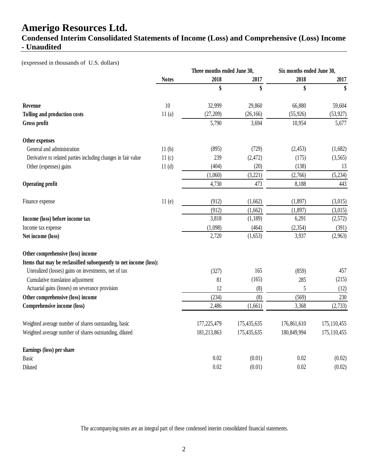### **Condensed Interim Consolidated Statements of Income (Loss) and Comprehensive (Loss) Income - Unaudited**

(expressed in thousands of U.S. dollars)

|                                                                   |              | Three months ended June 30, |             | Six months ended June 30, |               |
|-------------------------------------------------------------------|--------------|-----------------------------|-------------|---------------------------|---------------|
|                                                                   | <b>Notes</b> | 2018                        | 2017        | 2018                      | 2017          |
|                                                                   |              | \$                          | \$          | \$                        | \$            |
| Revenue                                                           | 10           | 32,999                      | 29,860      | 66,880                    | 59,604        |
| Tolling and production costs                                      | 11(a)        | (27, 209)                   | (26, 166)   | (55, 926)                 | (53, 927)     |
| Gross profit                                                      |              | 5,790                       | 3,694       | 10,954                    | 5,677         |
| Other expenses                                                    |              |                             |             |                           |               |
| General and administration                                        | 11(b)        | (895)                       | (729)       | (2, 453)                  | (1,682)       |
| Derivative to related parties including changes in fair value     | 11(c)        | 239                         | (2, 472)    | (175)                     | (3,565)       |
| Other (expenses) gains                                            | 11(d)        | (404)                       | (20)        | (138)                     | 13            |
|                                                                   |              | (1,060)                     | (3,221)     | (2,766)                   | (5,234)       |
| <b>Operating profit</b>                                           |              | 4,730                       | 473         | 8,188                     | 443           |
| Finance expense                                                   | 11(e)        | (912)                       | (1,662)     | (1, 897)                  | (3,015)       |
|                                                                   |              | (912)                       | (1,662)     | (1, 897)                  | (3,015)       |
| Income (loss) before income tax                                   |              | 3,818                       | (1, 189)    | 6,291                     | (2,572)       |
| Income tax expense                                                |              | (1,098)                     | (464)       | (2, 354)                  | (391)         |
| Net income (loss)                                                 |              | 2,720                       | (1,653)     | 3,937                     | (2,963)       |
| Other comprehensive (loss) income                                 |              |                             |             |                           |               |
| Items that may be reclassified subsequently to net income (loss): |              |                             |             |                           |               |
| Unrealized (losses) gains on investments, net of tax              |              | (327)                       | 165         | (859)                     | 457           |
| Cumulative translation adjustment                                 |              | 81                          | (165)       | 285                       | (215)         |
| Actuarial gains (losses) on severance provision                   |              | 12                          | (8)         | 5                         | (12)          |
| Other comprehensive (loss) income                                 |              | (234)                       | (8)         | (569)                     | 230           |
| <b>Comprehensive income (loss)</b>                                |              | 2,486                       | (1,661)     | 3,368                     | (2,733)       |
| Weighted average number of shares outstanding, basic              |              | 177,225,479                 | 175,435,635 | 176,861,610               | 175,110,455   |
| Weighted average number of shares outstanding, diluted            |              | 181,213,863                 | 175,435,635 | 180,849,994               | 175, 110, 455 |
| Earnings (loss) per share                                         |              |                             |             |                           |               |
| <b>Basic</b>                                                      |              | 0.02                        | (0.01)      | 0.02                      | (0.02)        |
| Diluted                                                           |              | 0.02                        | (0.01)      | 0.02                      | (0.02)        |

The accompanying notes are an integral part of these condensed interim consolidated financial statements.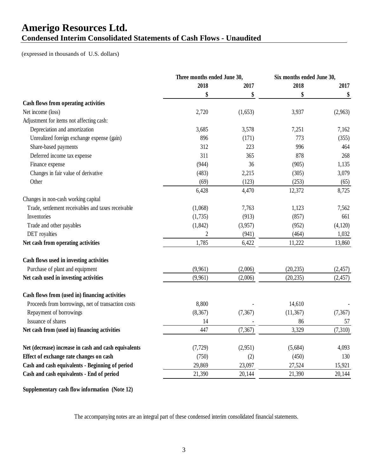### **Amerigo Resources Ltd. Condensed Interim Consolidated Statements of Cash Flows - Unaudited**

(expressed in thousands of U.S. dollars)

|                                                      | Three months ended June 30, |          | Six months ended June 30, |          |
|------------------------------------------------------|-----------------------------|----------|---------------------------|----------|
|                                                      | 2018                        | 2017     | 2018                      | 2017     |
|                                                      | \$                          | \$       | \$                        | \$       |
| Cash flows from operating activities                 |                             |          |                           |          |
| Net income (loss)                                    | 2,720                       | (1,653)  | 3,937                     | (2,963)  |
| Adjustment for items not affecting cash:             |                             |          |                           |          |
| Depreciation and amortization                        | 3,685                       | 3,578    | 7,251                     | 7,162    |
| Unrealized foreign exchange expense (gain)           | 896                         | (171)    | 773                       | (355)    |
| Share-based payments                                 | 312                         | 223      | 996                       | 464      |
| Deferred income tax expense                          | 311                         | 365      | 878                       | 268      |
| Finance expense                                      | (944)                       | 36       | (905)                     | 1,135    |
| Changes in fair value of derivative                  | (483)                       | 2,215    | (305)                     | 3,079    |
| Other                                                | (69)                        | (123)    | (253)                     | (65)     |
|                                                      | 6,428                       | 4,470    | 12,372                    | 8,725    |
| Changes in non-cash working capital                  |                             |          |                           |          |
| Trade, settlement receivables and taxes receivable   | (1,068)                     | 7,763    | 1,123                     | 7,562    |
| Inventories                                          | (1,735)                     | (913)    | (857)                     | 661      |
| Trade and other payables                             | (1, 842)                    | (3,957)  | (952)                     | (4,120)  |
| DET royalties                                        | $\overline{2}$              | (941)    | (464)                     | 1,032    |
| Net cash from operating activities                   | 1,785                       | 6,422    | 11,222                    | 13,860   |
| Cash flows used in investing activities              |                             |          |                           |          |
| Purchase of plant and equipment                      | (9,961)                     | (2,006)  | (20, 235)                 | (2, 457) |
| Net cash used in investing activities                | (9,961)                     | (2,006)  | (20, 235)                 | (2, 457) |
| Cash flows from (used in) financing activities       |                             |          |                           |          |
| Proceeds from borrowings, net of transaction costs   | 8,800                       |          | 14,610                    |          |
| Repayment of borrowings                              | (8,367)                     | (7, 367) | (11, 367)                 | (7, 367) |
| Issuance of shares                                   | 14                          |          | 86                        | 57       |
| Net cash from (used in) financing activities         | 447                         | (7, 367) | 3,329                     | (7,310)  |
| Net (decrease) increase in cash and cash equivalents | (7, 729)                    | (2,951)  | (5,684)                   | 4,093    |
| Effect of exchange rate changes on cash              | (750)                       | (2)      | (450)                     | 130      |
| Cash and cash equivalents - Beginning of period      | 29,869                      | 23,097   | 27,524                    | 15,921   |
| Cash and cash equivalents - End of period            | 21,390                      | 20,144   | 21,390                    | 20,144   |
|                                                      |                             |          |                           |          |

**Supplementary cash flow information (Note 12)**

The accompanying notes are an integral part of these condensed interim consolidated financial statements.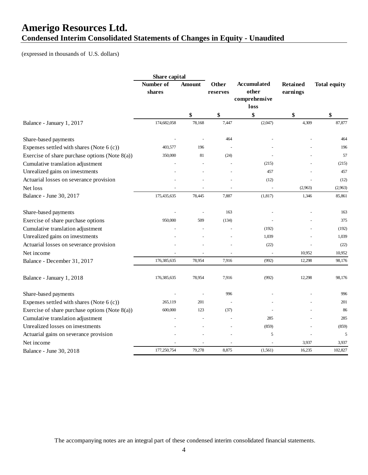### **Amerigo Resources Ltd. Condensed Interim Consolidated Statements of Changes in Equity - Unaudited**

(expressed in thousands of U.S. dollars)

|                                                   | Share capital       |                                                                                             |                    |          |         |                     |
|---------------------------------------------------|---------------------|---------------------------------------------------------------------------------------------|--------------------|----------|---------|---------------------|
|                                                   | Number of<br>shares | <b>Other</b><br><b>Retained</b><br>Amount<br>other<br>earnings<br>reserves<br>comprehensive | <b>Accumulated</b> |          |         | <b>Total equity</b> |
|                                                   |                     |                                                                                             |                    | loss     |         |                     |
|                                                   |                     | \$                                                                                          | \$                 | \$       | \$      | \$                  |
| Balance - January 1, 2017                         | 174,682,058         | 78,168                                                                                      | 7,447              | (2,047)  | 4,309   | 87,877              |
| Share-based payments                              |                     |                                                                                             | 464                |          |         | 464                 |
| Expenses settled with shares (Note 6 (c))         | 403,577             | 196                                                                                         |                    |          |         | 196                 |
| Exercise of share purchase options (Note $8(a)$ ) | 350,000             | 81                                                                                          | (24)               |          |         | 57                  |
| Cumulative translation adjustment                 |                     |                                                                                             |                    | (215)    |         | (215)               |
| Unrealized gains on investments                   |                     |                                                                                             |                    | 457      |         | 457                 |
| Actuarial losses on severance provision           |                     |                                                                                             |                    | (12)     |         | (12)                |
| Net loss                                          |                     | $\tilde{\phantom{a}}$                                                                       |                    | L.       | (2,963) | (2,963)             |
| Balance - June 30, 2017                           | 175,435,635         | 78,445                                                                                      | 7,887              | (1, 817) | 1,346   | 85,861              |
| Share-based payments                              |                     |                                                                                             | 163                |          |         | 163                 |
| Exercise of share purchase options                | 950,000             | 509                                                                                         | (134)              |          |         | 375                 |
| Cumulative translation adjustment                 |                     |                                                                                             |                    | (192)    |         | (192)               |
| Unrealized gains on investments                   |                     |                                                                                             |                    | 1,039    |         | 1,039               |
| Actuarial losses on severance provision           |                     |                                                                                             |                    | (22)     |         | (22)                |
| Net income                                        |                     |                                                                                             |                    |          | 10,952  | 10,952              |
| Balance - December 31, 2017                       | 176,385,635         | 78,954                                                                                      | 7,916              | (992)    | 12,298  | 98,176              |
| Balance - January 1, 2018                         | 176,385,635         | 78,954                                                                                      | 7,916              | (992)    | 12,298  | 98,176              |
| Share-based payments                              |                     |                                                                                             | 996                |          |         | 996                 |
| Expenses settled with shares (Note 6 (c))         | 265,119             | 201                                                                                         |                    |          |         | 201                 |
| Exercise of share purchase options (Note $8(a)$ ) | 600,000             | 123                                                                                         | (37)               |          |         | 86                  |
| Cumulative translation adjustment                 |                     |                                                                                             |                    | 285      |         | 285                 |
| Unrealized losses on investments                  |                     |                                                                                             |                    | (859)    |         | (859)               |
| Actuarial gains on severance provision            |                     |                                                                                             |                    | 5        |         | 5                   |
| Net income                                        |                     |                                                                                             |                    |          | 3,937   | 3,937               |
| Balance - June 30, 2018                           | 177,250,754         | 79,278                                                                                      | 8,875              | (1,561)  | 16,235  | 102,827             |

The accompanying notes are an integral part of these condensed interim consolidated financial statements.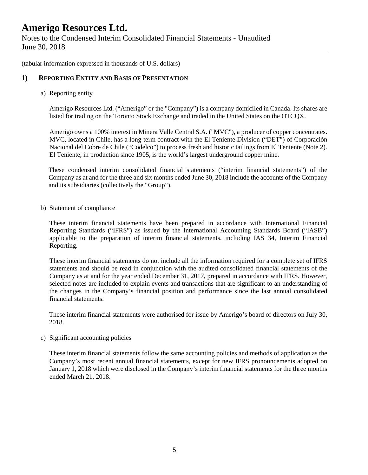Notes to the Condensed Interim Consolidated Financial Statements - Unaudited June 30, 2018

(tabular information expressed in thousands of U.S. dollars)

#### **1) REPORTING ENTITY AND BASIS OF PRESENTATION**

a) Reporting entity

Amerigo Resources Ltd. ("Amerigo" or the "Company") is a company domiciled in Canada. Its shares are listed for trading on the Toronto Stock Exchange and traded in the United States on the OTCQX.

Amerigo owns a 100% interest in Minera Valle Central S.A. ("MVC"), a producer of copper concentrates. MVC, located in Chile, has a long-term contract with the El Teniente Division ("DET") of Corporación Nacional del Cobre de Chile ("Codelco") to process fresh and historic tailings from El Teniente (Note 2). El Teniente, in production since 1905, is the world's largest underground copper mine.

These condensed interim consolidated financial statements ("interim financial statements") of the Company as at and for the three and six months ended June 30, 2018 include the accounts of the Company and its subsidiaries (collectively the "Group").

b) Statement of compliance

These interim financial statements have been prepared in accordance with International Financial Reporting Standards ("IFRS") as issued by the International Accounting Standards Board ("IASB") applicable to the preparation of interim financial statements, including IAS 34, Interim Financial Reporting.

These interim financial statements do not include all the information required for a complete set of IFRS statements and should be read in conjunction with the audited consolidated financial statements of the Company as at and for the year ended December 31, 2017, prepared in accordance with IFRS. However, selected notes are included to explain events and transactions that are significant to an understanding of the changes in the Company's financial position and performance since the last annual consolidated financial statements.

These interim financial statements were authorised for issue by Amerigo's board of directors on July 30, 2018.

c) Significant accounting policies

These interim financial statements follow the same accounting policies and methods of application as the Company's most recent annual financial statements, except for new IFRS pronouncements adopted on January 1, 2018 which were disclosed in the Company's interim financial statements for the three months ended March 21, 2018.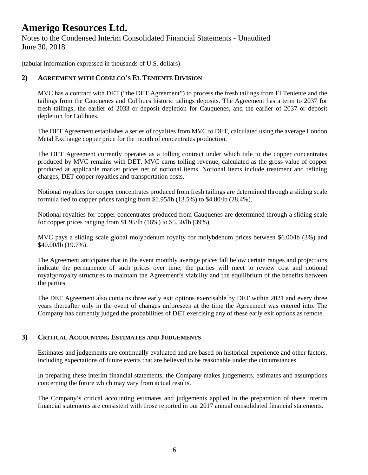Notes to the Condensed Interim Consolidated Financial Statements - Unaudited June 30, 2018

(tabular information expressed in thousands of U.S. dollars)

#### **2) AGREEMENT WITH CODELCO'S EL TENIENTE DIVISION**

MVC has a contract with DET ("the DET Agreement") to process the fresh tailings from El Teniente and the tailings from the Cauquenes and Colihues historic tailings deposits. The Agreement has a term to 2037 for fresh tailings, the earlier of 2033 or deposit depletion for Cauquenes, and the earlier of 2037 or deposit depletion for Colihues.

The DET Agreement establishes a series of royalties from MVC to DET, calculated using the average London Metal Exchange copper price for the month of concentrates production.

The DET Agreement currently operates as a tolling contract under which title to the copper concentrates produced by MVC remains with DET. MVC earns tolling revenue, calculated as the gross value of copper produced at applicable market prices net of notional items. Notional items include treatment and refining charges, DET copper royalties and transportation costs.

Notional royalties for copper concentrates produced from fresh tailings are determined through a sliding scale formula tied to copper prices ranging from \$1.95/lb (13.5%) to \$4.80/lb (28.4%).

Notional royalties for copper concentrates produced from Cauquenes are determined through a sliding scale for copper prices ranging from \$1.95/lb (16%) to \$5.50/lb (39%).

MVC pays a sliding scale global molybdenum royalty for molybdenum prices between \$6.00/lb (3%) and \$40.00/lb (19.7%).

The Agreement anticipates that in the event monthly average prices fall below certain ranges and projections indicate the permanence of such prices over time, the parties will meet to review cost and notional royalty/royalty structures to maintain the Agreement's viability and the equilibrium of the benefits between the parties.

The DET Agreement also contains three early exit options exercisable by DET within 2021 and every three years thereafter only in the event of changes unforeseen at the time the Agreement was entered into. The Company has currently judged the probabilities of DET exercising any of these early exit options as remote.

#### **3) CRITICAL ACCOUNTING ESTIMATES AND JUDGEMENTS**

Estimates and judgements are continually evaluated and are based on historical experience and other factors, including expectations of future events that are believed to be reasonable under the circumstances.

In preparing these interim financial statements, the Company makes judgements, estimates and assumptions concerning the future which may vary from actual results.

The Company's critical accounting estimates and judgements applied in the preparation of these interim financial statements are consistent with those reported in our 2017 annual consolidated financial statements.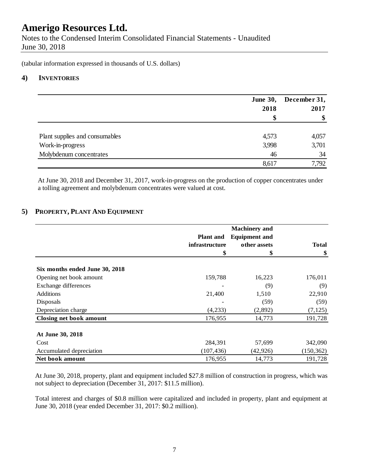Notes to the Condensed Interim Consolidated Financial Statements - Unaudited June 30, 2018

(tabular information expressed in thousands of U.S. dollars)

#### **4) INVENTORIES**

|                                | <b>June 30,</b><br>2018 | December 31,<br>2017 |
|--------------------------------|-------------------------|----------------------|
|                                |                         | \$                   |
| Plant supplies and consumables | 4,573                   | 4,057                |
| Work-in-progress               | 3,998                   | 3,701                |
| Molybdenum concentrates        | 46                      | 34                   |
|                                | 8,617                   | 7,792                |

At June 30, 2018 and December 31, 2017, work-in-progress on the production of copper concentrates under a tolling agreement and molybdenum concentrates were valued at cost.

#### **5) PROPERTY, PLANT AND EQUIPMENT**

|                                |                  | <b>Machinery</b> and |              |
|--------------------------------|------------------|----------------------|--------------|
|                                | <b>Plant and</b> | <b>Equipment and</b> |              |
|                                | infrastructure   | other assets         | <b>Total</b> |
|                                | \$               | \$                   | \$           |
| Six months ended June 30, 2018 |                  |                      |              |
| Opening net book amount        | 159,788          | 16,223               | 176,011      |
| Exchange differences           |                  | (9)                  | (9)          |
| <b>Additions</b>               | 21,400           | 1,510                | 22,910       |
| Disposals                      |                  | (59)                 | (59)         |
| Depreciation charge            | (4,233)          | (2,892)              | (7, 125)     |
| <b>Closing net book amount</b> | 176,955          | 14,773               | 191,728      |
| At June 30, 2018               |                  |                      |              |
| Cost                           | 284,391          | 57,699               | 342,090      |
| Accumulated depreciation       | (107, 436)       | (42, 926)            | (150, 362)   |
| Net book amount                | 176,955          | 14,773               | 191,728      |

At June 30, 2018, property, plant and equipment included \$27.8 million of construction in progress, which was not subject to depreciation (December 31, 2017: \$11.5 million).

Total interest and charges of \$0.8 million were capitalized and included in property, plant and equipment at June 30, 2018 (year ended December 31, 2017: \$0.2 million).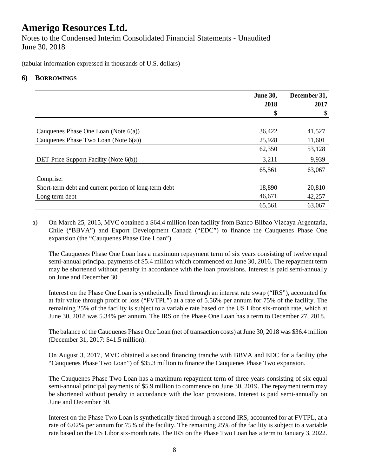Notes to the Condensed Interim Consolidated Financial Statements - Unaudited June 30, 2018

(tabular information expressed in thousands of U.S. dollars)

### **6) BORROWINGS**

|                                                       | <b>June 30,</b><br>2018 | December 31,<br>2017 |
|-------------------------------------------------------|-------------------------|----------------------|
|                                                       | \$                      | \$                   |
| Cauquenes Phase One Loan (Note $6(a)$ )               | 36,422                  | 41,527               |
| Cauquenes Phase Two Loan (Note 6(a))                  | 25,928                  | 11,601               |
|                                                       | 62,350                  | 53,128               |
| DET Price Support Facility (Note 6(b))                | 3,211                   | 9,939                |
|                                                       | 65,561                  | 63,067               |
| Comprise:                                             |                         |                      |
| Short-term debt and current portion of long-term debt | 18,890                  | 20,810               |
| Long-term debt                                        | 46,671                  | 42,257               |
|                                                       | 65,561                  | 63,067               |

a) On March 25, 2015, MVC obtained a \$64.4 million loan facility from Banco Bilbao Vizcaya Argentaria, Chile ("BBVA") and Export Development Canada ("EDC") to finance the Cauquenes Phase One expansion (the "Cauquenes Phase One Loan").

The Cauquenes Phase One Loan has a maximum repayment term of six years consisting of twelve equal semi-annual principal payments of \$5.4 million which commenced on June 30, 2016. The repayment term may be shortened without penalty in accordance with the loan provisions. Interest is paid semi-annually on June and December 30.

Interest on the Phase One Loan is synthetically fixed through an interest rate swap ("IRS"), accounted for at fair value through profit or loss ("FVTPL") at a rate of 5.56% per annum for 75% of the facility. The remaining 25% of the facility is subject to a variable rate based on the US Libor six-month rate, which at June 30, 2018 was 5.34% per annum. The IRS on the Phase One Loan has a term to December 27, 2018.

The balance of the Cauquenes Phase One Loan (net of transaction costs) at June 30, 2018 was \$36.4 million (December 31, 2017: \$41.5 million).

On August 3, 2017, MVC obtained a second financing tranche with BBVA and EDC for a facility (the "Cauquenes Phase Two Loan") of \$35.3 million to finance the Cauquenes Phase Two expansion.

The Cauquenes Phase Two Loan has a maximum repayment term of three years consisting of six equal semi-annual principal payments of \$5.9 million to commence on June 30, 2019. The repayment term may be shortened without penalty in accordance with the loan provisions. Interest is paid semi-annually on June and December 30.

Interest on the Phase Two Loan is synthetically fixed through a second IRS, accounted for at FVTPL, at a rate of 6.02% per annum for 75% of the facility. The remaining 25% of the facility is subject to a variable rate based on the US Libor six-month rate. The IRS on the Phase Two Loan has a term to January 3, 2022.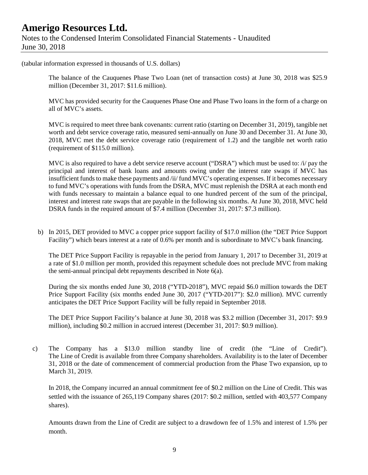Notes to the Condensed Interim Consolidated Financial Statements - Unaudited June 30, 2018

(tabular information expressed in thousands of U.S. dollars)

The balance of the Cauquenes Phase Two Loan (net of transaction costs) at June 30, 2018 was \$25.9 million (December 31, 2017: \$11.6 million).

MVC has provided security for the Cauquenes Phase One and Phase Two loans in the form of a charge on all of MVC's assets.

MVC is required to meet three bank covenants: current ratio (starting on December 31, 2019), tangible net worth and debt service coverage ratio, measured semi-annually on June 30 and December 31. At June 30, 2018, MVC met the debt service coverage ratio (requirement of 1.2) and the tangible net worth ratio (requirement of \$115.0 million).

MVC is also required to have a debt service reserve account ("DSRA") which must be used to: /i/ pay the principal and interest of bank loans and amounts owing under the interest rate swaps if MVC has insufficient funds to make these payments and /ii/ fund MVC's operating expenses. If it becomes necessary to fund MVC's operations with funds from the DSRA, MVC must replenish the DSRA at each month end with funds necessary to maintain a balance equal to one hundred percent of the sum of the principal, interest and interest rate swaps that are payable in the following six months. At June 30, 2018, MVC held DSRA funds in the required amount of \$7.4 million (December 31, 2017: \$7.3 million).

b) In 2015, DET provided to MVC a copper price support facility of \$17.0 million (the "DET Price Support Facility") which bears interest at a rate of 0.6% per month and is subordinate to MVC's bank financing.

The DET Price Support Facility is repayable in the period from January 1, 2017 to December 31, 2019 at a rate of \$1.0 million per month, provided this repayment schedule does not preclude MVC from making the semi-annual principal debt repayments described in Note 6(a).

During the six months ended June 30, 2018 ("YTD-2018"), MVC repaid \$6.0 million towards the DET Price Support Facility (six months ended June 30, 2017 ("YTD-2017"): \$2.0 million). MVC currently anticipates the DET Price Support Facility will be fully repaid in September 2018.

The DET Price Support Facility's balance at June 30, 2018 was \$3.2 million (December 31, 2017: \$9.9 million), including \$0.2 million in accrued interest (December 31, 2017: \$0.9 million).

c) The Company has a \$13.0 million standby line of credit (the "Line of Credit"). The Line of Credit is available from three Company shareholders. Availability is to the later of December 31, 2018 or the date of commencement of commercial production from the Phase Two expansion, up to March 31, 2019.

In 2018, the Company incurred an annual commitment fee of \$0.2 million on the Line of Credit. This was settled with the issuance of 265,119 Company shares (2017: \$0.2 million, settled with 403,577 Company shares).

Amounts drawn from the Line of Credit are subject to a drawdown fee of 1.5% and interest of 1.5% per month.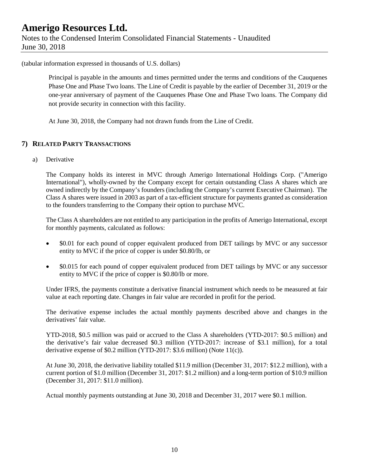Notes to the Condensed Interim Consolidated Financial Statements - Unaudited June 30, 2018

(tabular information expressed in thousands of U.S. dollars)

Principal is payable in the amounts and times permitted under the terms and conditions of the Cauquenes Phase One and Phase Two loans. The Line of Credit is payable by the earlier of December 31, 2019 or the one-year anniversary of payment of the Cauquenes Phase One and Phase Two loans. The Company did not provide security in connection with this facility.

At June 30, 2018, the Company had not drawn funds from the Line of Credit.

#### **7) RELATED PARTY TRANSACTIONS**

a) Derivative

The Company holds its interest in MVC through Amerigo International Holdings Corp. ("Amerigo International"), wholly-owned by the Company except for certain outstanding Class A shares which are owned indirectly by the Company's founders (including the Company's current Executive Chairman). The Class A shares were issued in 2003 as part of a tax-efficient structure for payments granted as consideration to the founders transferring to the Company their option to purchase MVC.

The Class A shareholders are not entitled to any participation in the profits of Amerigo International, except for monthly payments, calculated as follows:

- \$0.01 for each pound of copper equivalent produced from DET tailings by MVC or any successor entity to MVC if the price of copper is under \$0.80/lb, or
- \$0.015 for each pound of copper equivalent produced from DET tailings by MVC or any successor entity to MVC if the price of copper is \$0.80/lb or more.

Under IFRS, the payments constitute a derivative financial instrument which needs to be measured at fair value at each reporting date. Changes in fair value are recorded in profit for the period.

The derivative expense includes the actual monthly payments described above and changes in the derivatives' fair value.

YTD-2018, \$0.5 million was paid or accrued to the Class A shareholders (YTD-2017: \$0.5 million) and the derivative's fair value decreased \$0.3 million (YTD-2017: increase of \$3.1 million), for a total derivative expense of \$0.2 million (YTD-2017: \$3.6 million) (Note 11(c)).

At June 30, 2018, the derivative liability totalled \$11.9 million (December 31, 2017: \$12.2 million), with a current portion of \$1.0 million (December 31, 2017: \$1.2 million) and a long-term portion of \$10.9 million (December 31, 2017: \$11.0 million).

Actual monthly payments outstanding at June 30, 2018 and December 31, 2017 were \$0.1 million.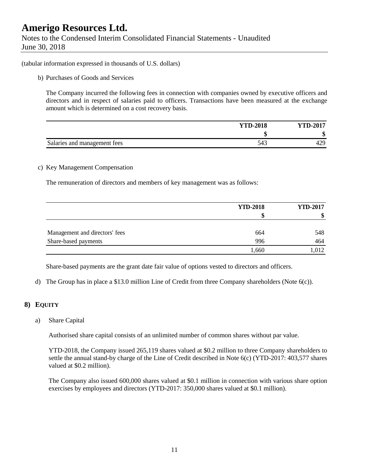Notes to the Condensed Interim Consolidated Financial Statements - Unaudited June 30, 2018

(tabular information expressed in thousands of U.S. dollars)

b) Purchases of Goods and Services

The Company incurred the following fees in connection with companies owned by executive officers and directors and in respect of salaries paid to officers. Transactions have been measured at the exchange amount which is determined on a cost recovery basis.

|                              | <b>YTD-2018</b> | <b>YTD-2017</b> |
|------------------------------|-----------------|-----------------|
|                              |                 | ₼<br>ഄ          |
| Salaries and management fees | J41             | 429             |

#### c) Key Management Compensation

The remuneration of directors and members of key management was as follows:

|                                | <b>YTD-2018</b> | <b>YTD-2017</b> |
|--------------------------------|-----------------|-----------------|
|                                | S               | ٨D              |
| Management and directors' fees | 664             | 548             |
| Share-based payments           | 996             | 464             |
|                                | 1,660           | .012            |

Share-based payments are the grant date fair value of options vested to directors and officers.

d) The Group has in place a \$13.0 million Line of Credit from three Company shareholders (Note 6(c)).

#### **8) EQUITY**

a) Share Capital

Authorised share capital consists of an unlimited number of common shares without par value.

YTD-2018, the Company issued 265,119 shares valued at \$0.2 million to three Company shareholders to settle the annual stand-by charge of the Line of Credit described in Note 6(c) (YTD-2017: 403,577 shares valued at \$0.2 million).

The Company also issued 600,000 shares valued at \$0.1 million in connection with various share option exercises by employees and directors (YTD-2017: 350,000 shares valued at \$0.1 million).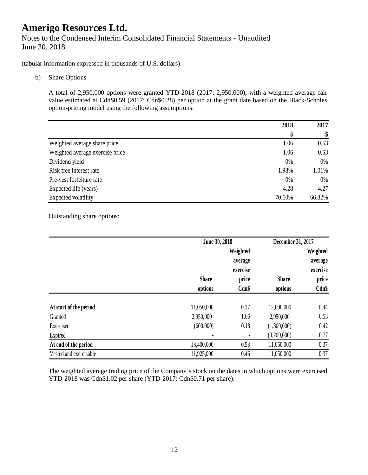Notes to the Condensed Interim Consolidated Financial Statements - Unaudited June 30, 2018

(tabular information expressed in thousands of U.S. dollars)

b) Share Options

A total of 2,950,000 options were granted YTD-2018 (2017: 2,950,000), with a weighted average fair value estimated at Cdn\$0.59 (2017: Cdn\$0.28) per option at the grant date based on the Black-Scholes option-pricing model using the following assumptions:

|                                 | 2018   | 2017   |
|---------------------------------|--------|--------|
|                                 | \$     | \$     |
| Weighted average share price    | 1.06   | 0.53   |
| Weighted average exercise price | 1.06   | 0.53   |
| Dividend yield                  | 0%     | 0%     |
| Risk free interest rate         | 1.98%  | 1.01%  |
| Pre-vest forfeiture rate        | 0%     | 0%     |
| Expected life (years)           | 4.28   | 4.27   |
| Expected volatility             | 70.60% | 66.82% |

Outstanding share options:

|                        | June 30, 2018 |          | December 31, 2017 |          |
|------------------------|---------------|----------|-------------------|----------|
|                        |               | Weighted |                   | Weighted |
|                        |               | average  |                   | average  |
|                        |               | exercise |                   | exercise |
|                        | <b>Share</b>  | price    | <b>Share</b>      | price    |
|                        | options       | Cdn\$    | options           | Cdn\$    |
|                        |               |          |                   |          |
| At start of the period | 11,050,000    | 0.37     | 12,600,000        | 0.44     |
| Granted                | 2,950,000     | 1.06     | 2,950,000         | 0.53     |
| Exercised              | (600,000)     | 0.18     | (1,300,000)       | 0.42     |
| Expired                |               |          | (3,200,000)       | 0.77     |
| At end of the period   | 13,400,000    | 0.53     | 11,050,000        | 0.37     |
| Vested and exercisable | 11,925,000    | 0.46     | 11,050,000        | 0.37     |

The weighted average trading price of the Company's stock on the dates in which options were exercised YTD-2018 was Cdn\$1.02 per share (YTD-2017: Cdn\$0.71 per share).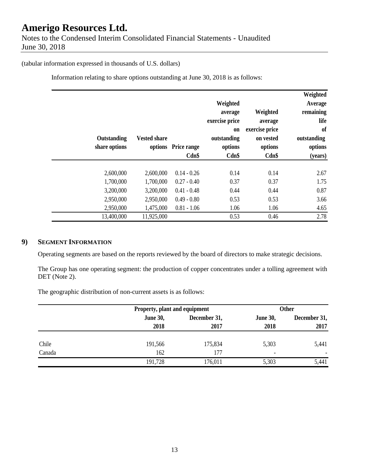Notes to the Condensed Interim Consolidated Financial Statements - Unaudited June 30, 2018

#### (tabular information expressed in thousands of U.S. dollars)

Information relating to share options outstanding at June 30, 2018 is as follows:

| Weighted<br>Average<br>remaining<br>life<br><sub>of</sub><br>outstanding<br>options<br>(years) | Weighted<br>average<br>exercise price<br>on vested<br>options<br>Cdn\$ | Weighted<br>average<br>exercise price<br><b>on</b><br>outstanding<br>options<br>Cdn\$ | options Price range<br>Cdn\$ | <b>Vested share</b> | Outstanding<br>share options |  |
|------------------------------------------------------------------------------------------------|------------------------------------------------------------------------|---------------------------------------------------------------------------------------|------------------------------|---------------------|------------------------------|--|
| 2.67                                                                                           | 0.14                                                                   | 0.14                                                                                  | $0.14 - 0.26$                | 2,600,000           | 2,600,000                    |  |
| 1.75                                                                                           | 0.37                                                                   | 0.37                                                                                  | $0.27 - 0.40$                | 1,700,000           | 1,700,000                    |  |
| 0.87                                                                                           | 0.44                                                                   | 0.44                                                                                  | $0.41 - 0.48$                | 3,200,000           | 3,200,000                    |  |
| 3.66                                                                                           | 0.53                                                                   | 0.53                                                                                  | $0.49 - 0.80$                | 2,950,000           | 2,950,000                    |  |
| 4.65                                                                                           | 1.06                                                                   | 1.06                                                                                  | $0.81 - 1.06$                | 1,475,000           | 2,950,000                    |  |
| 2.78                                                                                           | 0.46                                                                   | 0.53                                                                                  |                              | 11,925,000          | 13,400,000                   |  |

### **9) SEGMENT INFORMATION**

Operating segments are based on the reports reviewed by the board of directors to make strategic decisions.

The Group has one operating segment: the production of copper concentrates under a tolling agreement with DET (Note 2).

The geographic distribution of non-current assets is as follows:

|        |                 | Property, plant and equipment |                 | <b>Other</b> |  |
|--------|-----------------|-------------------------------|-----------------|--------------|--|
|        | <b>June 30,</b> | December 31,                  | <b>June 30,</b> | December 31, |  |
|        | 2018            | 2017                          | 2018            | 2017         |  |
| Chile  | 191,566         | 175,834                       | 5,303           | 5,441        |  |
| Canada | 162             | 177                           | ۰               |              |  |
|        | 191,728         | 176,011                       | 5,303           | 5,441        |  |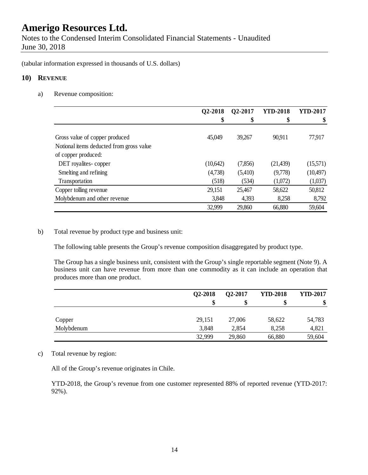Notes to the Condensed Interim Consolidated Financial Statements - Unaudited June 30, 2018

(tabular information expressed in thousands of U.S. dollars)

#### **10) REVENUE**

a) Revenue composition:

|                                          | Q2-2018  | Q2-2017 | <b>YTD-2018</b> | <b>YTD-2017</b> |
|------------------------------------------|----------|---------|-----------------|-----------------|
|                                          | \$       | \$      | \$              | \$              |
|                                          |          |         |                 |                 |
| Gross value of copper produced           | 45,049   | 39,267  | 90,911          | 77,917          |
| Notional items deducted from gross value |          |         |                 |                 |
| of copper produced:                      |          |         |                 |                 |
| DET royalites-copper                     | (10,642) | (7,856) | (21, 439)       | (15,571)        |
| Smelting and refining                    | (4,738)  | (5,410) | (9,778)         | (10,497)        |
| Transportation                           | (518)    | (534)   | (1,072)         | (1,037)         |
| Copper tolling revenue                   | 29,151   | 25,467  | 58,622          | 50,812          |
| Molybdenum and other revenue             | 3,848    | 4,393   | 8,258           | 8,792           |
|                                          | 32,999   | 29,860  | 66,880          | 59,604          |

b) Total revenue by product type and business unit:

The following table presents the Group's revenue composition disaggregated by product type.

The Group has a single business unit, consistent with the Group's single reportable segment (Note 9). A business unit can have revenue from more than one commodity as it can include an operation that produces more than one product.

|            | Q2-2018 | Q2-2017 | <b>YTD-2018</b> | <b>YTD-2017</b> |
|------------|---------|---------|-----------------|-----------------|
|            |         | \$      |                 | \$              |
|            |         |         |                 |                 |
| Copper     | 29,151  | 27,006  | 58,622          | 54,783          |
| Molybdenum | 3,848   | 2,854   | 8,258           | 4,821           |
|            | 32,999  | 29,860  | 66,880          | 59,604          |

#### c) Total revenue by region:

All of the Group's revenue originates in Chile.

YTD-2018, the Group's revenue from one customer represented 88% of reported revenue (YTD-2017: 92%).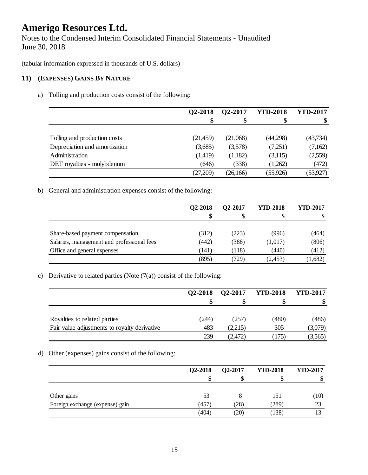Notes to the Condensed Interim Consolidated Financial Statements - Unaudited June 30, 2018

(tabular information expressed in thousands of U.S. dollars)

### **11) (EXPENSES) GAINS BY NATURE**

a) Tolling and production costs consist of the following:

|                               | Q2-2018  | Q2-2017   | <b>YTD-2018</b> | <b>YTD-2017</b> |
|-------------------------------|----------|-----------|-----------------|-----------------|
|                               | \$       | \$        |                 | \$              |
|                               |          |           |                 |                 |
| Tolling and production costs  | (21,459) | (21,068)  | (44,298)        | (43,734)        |
| Depreciation and amortization | (3,685)  | (3,578)   | (7,251)         | (7,162)         |
| Administration                | (1,419)  | (1,182)   | (3,115)         | (2,559)         |
| DET royalties - molybdenum    | (646)    | (338)     | (1,262)         | (472)           |
|                               | (27,209) | (26, 166) | (55, 926)       | (53, 927)       |

b) General and administration expenses consist of the following:

|                                            | Q2-2018 | <b>O2-2017</b> | <b>YTD-2018</b> | <b>YTD-2017</b> |
|--------------------------------------------|---------|----------------|-----------------|-----------------|
|                                            |         | S              |                 |                 |
|                                            |         |                |                 |                 |
| Share-based payment compensation           | (312)   | (223)          | (996)           | (464)           |
| Salaries, management and professional fees | (442)   | (388)          | (1,017)         | (806)           |
| Office and general expenses                | (141)   | (118)          | (440)           | (412)           |
|                                            | (895)   | 729)           | (2,453)         | (1,682)         |

#### c) Derivative to related parties (Note  $(7(a))$  consist of the following:

|                                              | Q2-2018 | Q2-2017 | <b>YTD-2018</b> | <b>YTD-2017</b> |
|----------------------------------------------|---------|---------|-----------------|-----------------|
|                                              |         | S       |                 | \$.             |
|                                              |         |         |                 |                 |
| Royalties to related parties                 | (244)   | (257)   | (480)           | (486)           |
| Fair value adjustments to royalty derivative | 483     | (2,215) | 305             | (3,079)         |
|                                              | 239     | (2,472) | (175)           | (3,565)         |

#### d) Other (expenses) gains consist of the following:

|                                 | Q2-2018 | Q2-2017 | <b>YTD-2018</b> | <b>YTD-2017</b> |
|---------------------------------|---------|---------|-----------------|-----------------|
|                                 |         | ٨D      |                 | ۱D              |
| Other gains                     | 53      |         | 151             | (10)            |
| Foreign exchange (expense) gain | (457)   | 28)     | (289)           | 23              |
|                                 | (404)   | 20)     | (138)           |                 |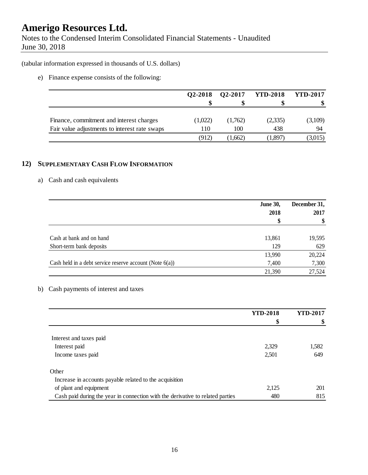Notes to the Condensed Interim Consolidated Financial Statements - Unaudited June 30, 2018

(tabular information expressed in thousands of U.S. dollars)

e) Finance expense consists of the following:

|                                               | Q2-2018 | Q2-2017 | <b>YTD-2018</b>    | <b>YTD-2017</b> |
|-----------------------------------------------|---------|---------|--------------------|-----------------|
|                                               |         |         |                    |                 |
| Finance, commitment and interest charges      | (1,022) | (1,762) | (2,335)            | (3,109)         |
| Fair value adjustments to interest rate swaps | 110     | 100     | 438                | 94              |
|                                               | (912)   | 1,662)  | $^{\prime}1,\!897$ | (3,015)         |

### **12) SUPPLEMENTARY CASH FLOW INFORMATION**

#### a) Cash and cash equivalents

|                                                            | <b>June 30,</b> | December 31,<br>2017 |
|------------------------------------------------------------|-----------------|----------------------|
|                                                            | 2018            |                      |
|                                                            | \$              | \$                   |
|                                                            |                 |                      |
| Cash at bank and on hand                                   | 13,861          | 19,595               |
| Short-term bank deposits                                   | 129             | 629                  |
|                                                            | 13,990          | 20,224               |
| Cash held in a debt service reserve account (Note $6(a)$ ) | 7,400           | 7,300                |
|                                                            | 21,390          | 27,524               |

### b) Cash payments of interest and taxes

|                                                                                | <b>YTD-2018</b> | <b>YTD-2017</b> |
|--------------------------------------------------------------------------------|-----------------|-----------------|
|                                                                                | \$              | \$              |
|                                                                                |                 |                 |
| Interest and taxes paid                                                        |                 |                 |
| Interest paid                                                                  | 2,329           | 1,582           |
| Income taxes paid                                                              | 2,501           | 649             |
| Other                                                                          |                 |                 |
| Increase in accounts payable related to the acquisition                        |                 |                 |
| of plant and equipment                                                         | 2,125           | 201             |
| Cash paid during the year in connection with the derivative to related parties | 480             | 815             |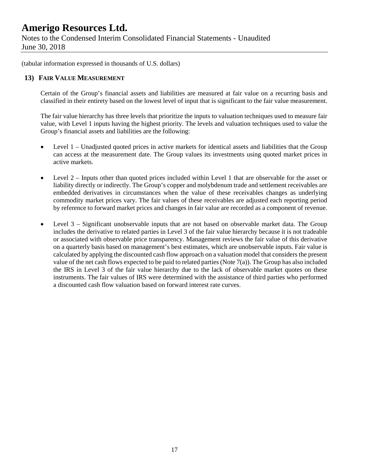Notes to the Condensed Interim Consolidated Financial Statements - Unaudited June 30, 2018

(tabular information expressed in thousands of U.S. dollars)

#### **13) FAIR VALUE MEASUREMENT**

Certain of the Group's financial assets and liabilities are measured at fair value on a recurring basis and classified in their entirety based on the lowest level of input that is significant to the fair value measurement.

The fair value hierarchy has three levels that prioritize the inputs to valuation techniques used to measure fair value, with Level 1 inputs having the highest priority. The levels and valuation techniques used to value the Group's financial assets and liabilities are the following:

- Level 1 Unadjusted quoted prices in active markets for identical assets and liabilities that the Group can access at the measurement date. The Group values its investments using quoted market prices in active markets.
- Level 2 Inputs other than quoted prices included within Level 1 that are observable for the asset or liability directly or indirectly. The Group's copper and molybdenum trade and settlement receivables are embedded derivatives in circumstances when the value of these receivables changes as underlying commodity market prices vary. The fair values of these receivables are adjusted each reporting period by reference to forward market prices and changes in fair value are recorded as a component of revenue.
- Level 3 Significant unobservable inputs that are not based on observable market data. The Group includes the derivative to related parties in Level 3 of the fair value hierarchy because it is not tradeable or associated with observable price transparency. Management reviews the fair value of this derivative on a quarterly basis based on management's best estimates, which are unobservable inputs. Fair value is calculated by applying the discounted cash flow approach on a valuation model that considers the present value of the net cash flows expected to be paid to related parties (Note 7(a)). The Group has also included the IRS in Level 3 of the fair value hierarchy due to the lack of observable market quotes on these instruments. The fair values of IRS were determined with the assistance of third parties who performed a discounted cash flow valuation based on forward interest rate curves.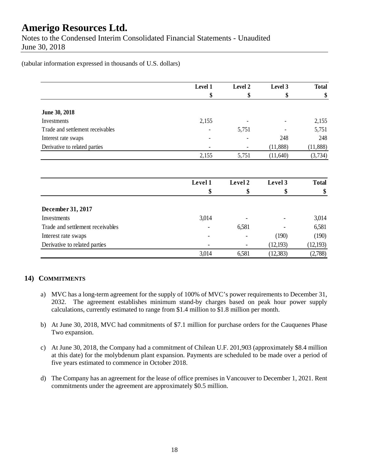Notes to the Condensed Interim Consolidated Financial Statements - Unaudited June 30, 2018

(tabular information expressed in thousands of U.S. dollars)

|                                  | Level 1 | Level 2 | Level 3   | <b>Total</b> |
|----------------------------------|---------|---------|-----------|--------------|
|                                  | \$      | \$      | \$        | \$           |
| June 30, 2018                    |         |         |           |              |
| Investments                      | 2,155   |         |           | 2,155        |
| Trade and settlement receivables |         | 5,751   |           | 5,751        |
| Interest rate swaps              |         |         | 248       | 248          |
| Derivative to related parties    |         |         | (11,888)  | (11, 888)    |
|                                  | 2,155   | 5,751   | (11,640)  | (3, 734)     |
|                                  | Level 1 | Level 2 | Level 3   | <b>Total</b> |
|                                  | \$      | \$      | \$        | \$           |
| December 31, 2017                |         |         |           |              |
| Investments                      | 3,014   |         |           | 3,014        |
| Trade and settlement receivables |         | 6,581   |           | 6,581        |
| Interest rate swaps              |         |         | (190)     | (190)        |
| Derivative to related parties    |         |         | (12,193)  | (12, 193)    |
|                                  | 3,014   | 6,581   | (12, 383) | (2,788)      |

### **14) COMMITMENTS**

- a) MVC has a long-term agreement for the supply of 100% of MVC's power requirements to December 31, 2032. The agreement establishes minimum stand-by charges based on peak hour power supply calculations, currently estimated to range from \$1.4 million to \$1.8 million per month.
- b) At June 30, 2018, MVC had commitments of \$7.1 million for purchase orders for the Cauquenes Phase Two expansion.
- c) At June 30, 2018, the Company had a commitment of Chilean U.F. 201,903 (approximately \$8.4 million at this date) for the molybdenum plant expansion. Payments are scheduled to be made over a period of five years estimated to commence in October 2018.
- d) The Company has an agreement for the lease of office premises in Vancouver to December 1, 2021. Rent commitments under the agreement are approximately \$0.5 million.